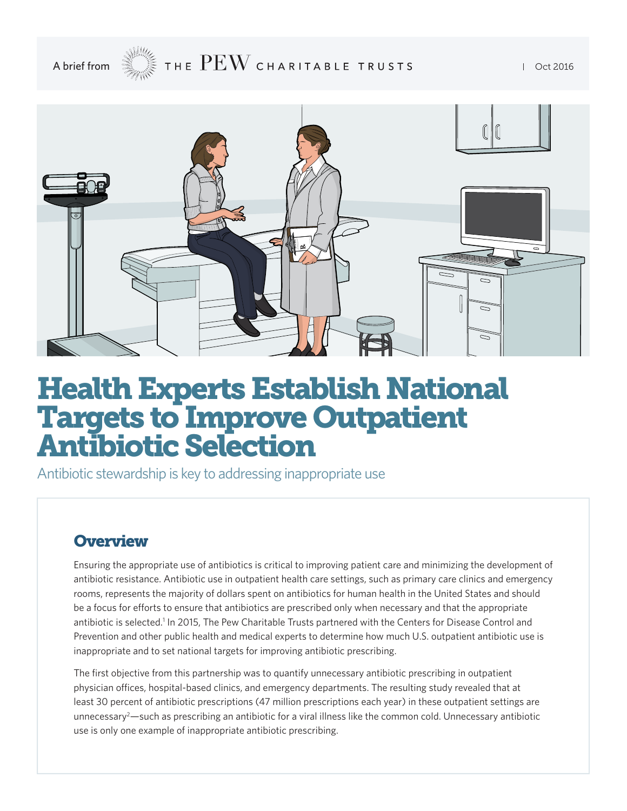A brief from  $\mathcal{L} \subset \mathbb{R}$  THE  $\rm{PEW}$  charitable trusts for an oct 2016



# Health Experts Establish National Targets to Improve Outpatient Antibiotic Selection

Antibiotic stewardship is key to addressing inappropriate use

## **Overview**

Ensuring the appropriate use of antibiotics is critical to improving patient care and minimizing the development of antibiotic resistance. Antibiotic use in outpatient health care settings, such as primary care clinics and emergency rooms, represents the majority of dollars spent on antibiotics for human health in the United States and should be a focus for efforts to ensure that antibiotics are prescribed only when necessary and that the appropriate antibiotic is selected.<sup>1</sup> In 2015, The Pew Charitable Trusts partnered with the Centers for Disease Control and Prevention and other public health and medical experts to determine how much U.S. outpatient antibiotic use is inappropriate and to set national targets for improving antibiotic prescribing.

The first objective from this partnership was to quantify unnecessary antibiotic prescribing in outpatient physician offices, hospital-based clinics, and emergency departments. The resulting study revealed that at least 30 percent of antibiotic prescriptions (47 million prescriptions each year) in these outpatient settings are unnecessary2 —such as prescribing an antibiotic for a viral illness like the common cold. Unnecessary antibiotic use is only one example of inappropriate antibiotic prescribing.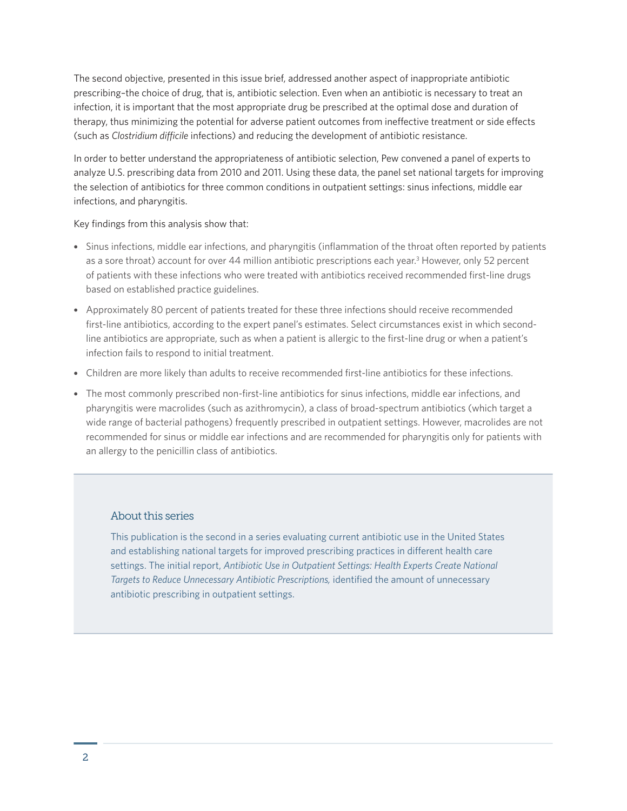The second objective, presented in this issue brief, addressed another aspect of inappropriate antibiotic prescribing–the choice of drug, that is, antibiotic selection. Even when an antibiotic is necessary to treat an infection, it is important that the most appropriate drug be prescribed at the optimal dose and duration of therapy, thus minimizing the potential for adverse patient outcomes from ineffective treatment or side effects (such as *Clostridium difficile* infections) and reducing the development of antibiotic resistance.

In order to better understand the appropriateness of antibiotic selection, Pew convened a panel of experts to analyze U.S. prescribing data from 2010 and 2011. Using these data, the panel set national targets for improving the selection of antibiotics for three common conditions in outpatient settings: sinus infections, middle ear infections, and pharyngitis.

#### Key findings from this analysis show that:

- Sinus infections, middle ear infections, and pharyngitis (inflammation of the throat often reported by patients as a sore throat) account for over 44 million antibiotic prescriptions each year.<sup>3</sup> However, only 52 percent of patients with these infections who were treated with antibiotics received recommended first-line drugs based on established practice guidelines.
- Approximately 80 percent of patients treated for these three infections should receive recommended first-line antibiotics, according to the expert panel's estimates. Select circumstances exist in which secondline antibiotics are appropriate, such as when a patient is allergic to the first-line drug or when a patient's infection fails to respond to initial treatment.
- Children are more likely than adults to receive recommended first-line antibiotics for these infections.
- The most commonly prescribed non-first-line antibiotics for sinus infections, middle ear infections, and pharyngitis were macrolides (such as azithromycin), a class of broad-spectrum antibiotics (which target a wide range of bacterial pathogens) frequently prescribed in outpatient settings. However, macrolides are not recommended for sinus or middle ear infections and are recommended for pharyngitis only for patients with an allergy to the penicillin class of antibiotics.

#### About this series

This publication is the second in a series evaluating current antibiotic use in the United States and establishing national targets for improved prescribing practices in different health care settings. The initial report, *[Antibiotic Use in Outpatient Settings: Health Experts Create National](http://www.pewtrusts.org/improveantibioticuse)  [Targets to Reduce Unnecessary Antibiotic Prescriptions,](http://www.pewtrusts.org/improveantibioticuse)* identified the amount of unnecessary antibiotic prescribing in outpatient settings.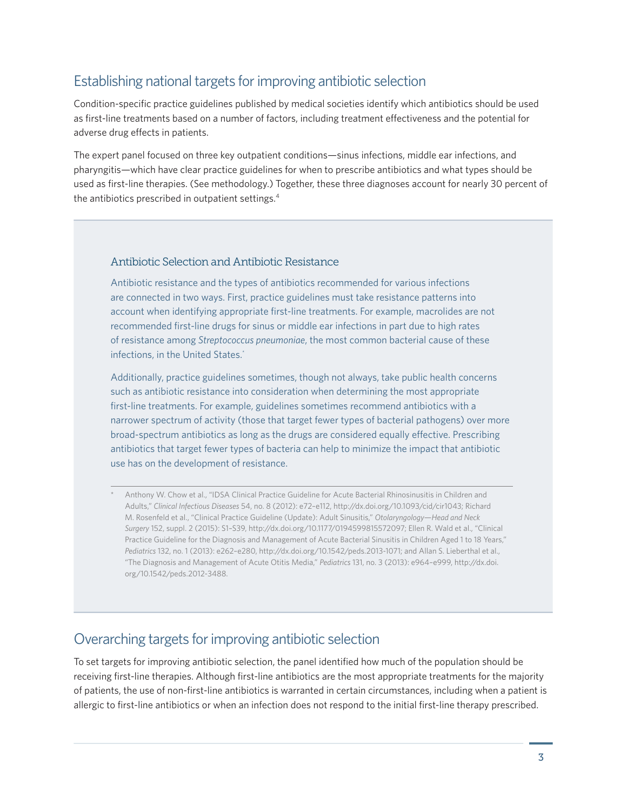## Establishing national targets for improving antibiotic selection

Condition-specific practice guidelines published by medical societies identify which antibiotics should be used as first-line treatments based on a number of factors, including treatment effectiveness and the potential for adverse drug effects in patients.

The expert panel focused on three key outpatient conditions—sinus infections, middle ear infections, and pharyngitis—which have clear practice guidelines for when to prescribe antibiotics and what types should be used as first-line therapies. (See methodology.) Together, these three diagnoses account for nearly 30 percent of the antibiotics prescribed in outpatient settings.4

#### Antibiotic Selection and Antibiotic Resistance

Antibiotic resistance and the types of antibiotics recommended for various infections are connected in two ways. First, practice guidelines must take resistance patterns into account when identifying appropriate first-line treatments. For example, macrolides are not recommended first-line drugs for sinus or middle ear infections in part due to high rates of resistance among *Streptococcus pneumoniae*, the most common bacterial cause of these infections, in the United States.<sup>\*</sup>

Additionally, practice guidelines sometimes, though not always, take public health concerns such as antibiotic resistance into consideration when determining the most appropriate first-line treatments. For example, guidelines sometimes recommend antibiotics with a narrower spectrum of activity (those that target fewer types of bacterial pathogens) over more broad-spectrum antibiotics as long as the drugs are considered equally effective. Prescribing antibiotics that target fewer types of bacteria can help to minimize the impact that antibiotic use has on the development of resistance.

Anthony W. Chow et al., "IDSA Clinical Practice Guideline for Acute Bacterial Rhinosinusitis in Children and Adults," *Clinical Infectious Diseases* 54, no. 8 (2012): e72–e112, [http://dx.doi.org/10.1093/cid/cir1043;](http://dx.doi.org/10.1093/cid/cir1043) Richard M. Rosenfeld et al., "Clinical Practice Guideline (Update): Adult Sinusitis," *Otolaryngology—Head and Neck Surgery* 152, suppl. 2 (2015): S1–S39, <http://dx.doi.org/10.1177/0194599815572097>; Ellen R. Wald et al., "Clinical Practice Guideline for the Diagnosis and Management of Acute Bacterial Sinusitis in Children Aged 1 to 18 Years," *Pediatrics* 132, no. 1 (2013): e262–e280,<http://dx.doi.org/10.1542/peds.2013-1071>; and Allan S. Lieberthal et al., "The Diagnosis and Management of Acute Otitis Media," *Pediatrics* 131, no. 3 (2013): e964–e999, [http://dx.doi.](http://dx.doi.org/10.1542/peds.2012-3488) [org/10.1542/peds.2012-3488.](http://dx.doi.org/10.1542/peds.2012-3488)

### Overarching targets for improving antibiotic selection

To set targets for improving antibiotic selection, the panel identified how much of the population should be receiving first-line therapies. Although first-line antibiotics are the most appropriate treatments for the majority of patients, the use of non-first-line antibiotics is warranted in certain circumstances, including when a patient is allergic to first-line antibiotics or when an infection does not respond to the initial first-line therapy prescribed.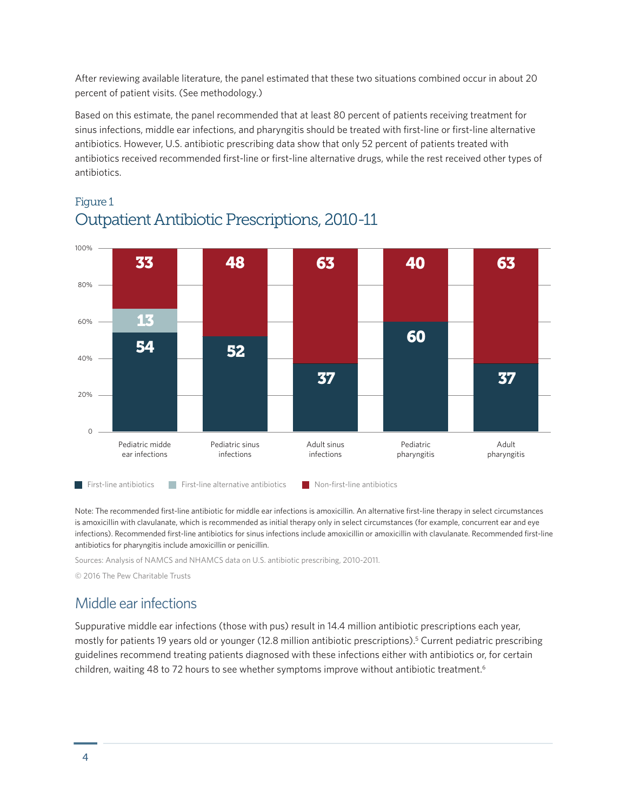After reviewing available literature, the panel estimated that these two situations combined occur in about 20 percent of patient visits. (See methodology.)

Based on this estimate, the panel recommended that at least 80 percent of patients receiving treatment for sinus infections, middle ear infections, and pharyngitis should be treated with first-line or first-line alternative antibiotics. However, U.S. antibiotic prescribing data show that only 52 percent of patients treated with antibiotics received recommended first-line or first-line alternative drugs, while the rest received other types of antibiotics.



## Figure 1 Outpatient Antibiotic Prescriptions, 2010-11

Note: The recommended first-line antibiotic for middle ear infections is amoxicillin. An alternative first-line therapy in select circumstances is amoxicillin with clavulanate, which is recommended as initial therapy only in select circumstances (for example, concurrent ear and eye infections). Recommended first-line antibiotics for sinus infections include amoxicillin or amoxicillin with clavulanate. Recommended first-line antibiotics for pharyngitis include amoxicillin or penicillin.

Sources: Analysis of NAMCS and NHAMCS data on U.S. antibiotic prescribing, 2010-2011.

© 2016 The Pew Charitable Trusts

### Middle ear infections

Suppurative middle ear infections (those with pus) result in 14.4 million antibiotic prescriptions each year, mostly for patients 19 years old or younger (12.8 million antibiotic prescriptions).5 Current pediatric prescribing guidelines recommend treating patients diagnosed with these infections either with antibiotics or, for certain children, waiting 48 to 72 hours to see whether symptoms improve without antibiotic treatment.<sup>6</sup>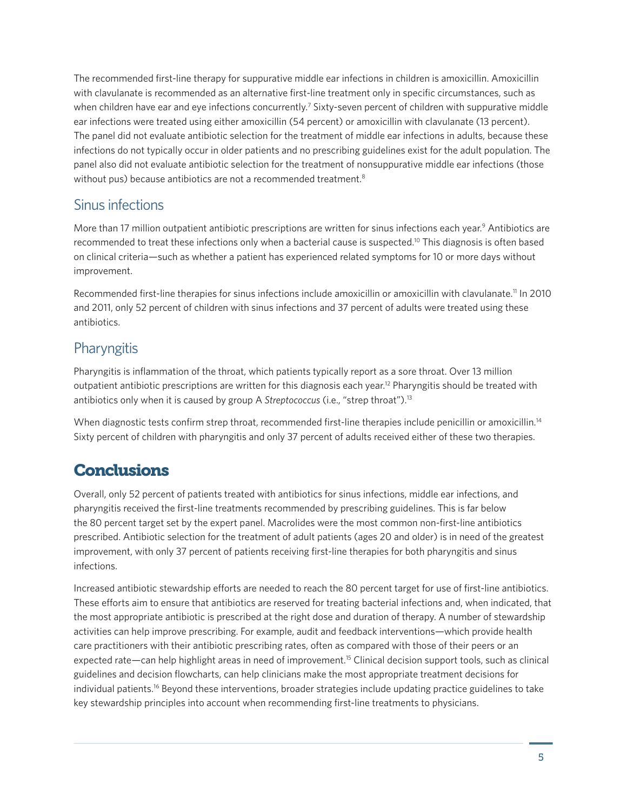The recommended first-line therapy for suppurative middle ear infections in children is amoxicillin. Amoxicillin with clavulanate is recommended as an alternative first-line treatment only in specific circumstances, such as when children have ear and eye infections concurrently.<sup>7</sup> Sixty-seven percent of children with suppurative middle ear infections were treated using either amoxicillin (54 percent) or amoxicillin with clavulanate (13 percent). The panel did not evaluate antibiotic selection for the treatment of middle ear infections in adults, because these infections do not typically occur in older patients and no prescribing guidelines exist for the adult population. The panel also did not evaluate antibiotic selection for the treatment of nonsuppurative middle ear infections (those without pus) because antibiotics are not a recommended treatment.<sup>8</sup>

#### Sinus infections

More than 17 million outpatient antibiotic prescriptions are written for sinus infections each year.<sup>9</sup> Antibiotics are recommended to treat these infections only when a bacterial cause is suspected.<sup>10</sup> This diagnosis is often based on clinical criteria—such as whether a patient has experienced related symptoms for 10 or more days without improvement.

Recommended first-line therapies for sinus infections include amoxicillin or amoxicillin with clavulanate.11 In 2010 and 2011, only 52 percent of children with sinus infections and 37 percent of adults were treated using these antibiotics.

## **Pharyngitis**

Pharyngitis is inflammation of the throat, which patients typically report as a sore throat. Over 13 million outpatient antibiotic prescriptions are written for this diagnosis each year.<sup>12</sup> Pharyngitis should be treated with antibiotics only when it is caused by group A *Streptococcus* (i.e., "strep throat").13

When diagnostic tests confirm strep throat, recommended first-line therapies include penicillin or amoxicillin.<sup>14</sup> Sixty percent of children with pharyngitis and only 37 percent of adults received either of these two therapies.

## **Conclusions**

Overall, only 52 percent of patients treated with antibiotics for sinus infections, middle ear infections, and pharyngitis received the first-line treatments recommended by prescribing guidelines. This is far below the 80 percent target set by the expert panel. Macrolides were the most common non-first-line antibiotics prescribed. Antibiotic selection for the treatment of adult patients (ages 20 and older) is in need of the greatest improvement, with only 37 percent of patients receiving first-line therapies for both pharyngitis and sinus infections.

Increased antibiotic stewardship efforts are needed to reach the 80 percent target for use of first-line antibiotics. These efforts aim to ensure that antibiotics are reserved for treating bacterial infections and, when indicated, that the most appropriate antibiotic is prescribed at the right dose and duration of therapy. A number of stewardship activities can help improve prescribing. For example, audit and feedback interventions—which provide health care practitioners with their antibiotic prescribing rates, often as compared with those of their peers or an expected rate—can help highlight areas in need of improvement.<sup>15</sup> Clinical decision support tools, such as clinical guidelines and decision flowcharts, can help clinicians make the most appropriate treatment decisions for individual patients.16 Beyond these interventions, broader strategies include updating practice guidelines to take key stewardship principles into account when recommending first-line treatments to physicians.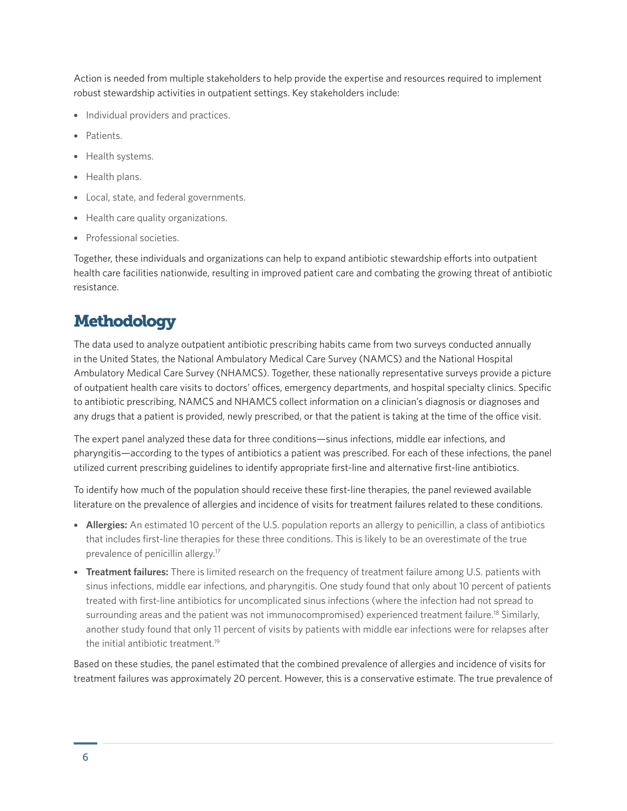Action is needed from multiple stakeholders to help provide the expertise and resources required to implement robust stewardship activities in outpatient settings. Key stakeholders include:

- Individual providers and practices.
- Patients.
- Health systems.
- Health plans.
- Local, state, and federal governments.
- Health care quality organizations.
- Professional societies.

Together, these individuals and organizations can help to expand antibiotic stewardship efforts into outpatient health care facilities nationwide, resulting in improved patient care and combating the growing threat of antibiotic resistance.

# **Methodology**

The data used to analyze outpatient antibiotic prescribing habits came from two surveys conducted annually in the United States, the National Ambulatory Medical Care Survey (NAMCS) and the National Hospital Ambulatory Medical Care Survey (NHAMCS). Together, these nationally representative surveys provide a picture of outpatient health care visits to doctors' offices, emergency departments, and hospital specialty clinics. Specific to antibiotic prescribing, NAMCS and NHAMCS collect information on a clinician's diagnosis or diagnoses and any drugs that a patient is provided, newly prescribed, or that the patient is taking at the time of the office visit.

The expert panel analyzed these data for three conditions—sinus infections, middle ear infections, and pharyngitis—according to the types of antibiotics a patient was prescribed. For each of these infections, the panel utilized current prescribing guidelines to identify appropriate first-line and alternative first-line antibiotics.

To identify how much of the population should receive these first-line therapies, the panel reviewed available literature on the prevalence of allergies and incidence of visits for treatment failures related to these conditions.

- **Allergies:** An estimated 10 percent of the U.S. population reports an allergy to penicillin, a class of antibiotics that includes first-line therapies for these three conditions. This is likely to be an overestimate of the true prevalence of penicillin allergy.17
- **Treatment failures:** There is limited research on the frequency of treatment failure among U.S. patients with sinus infections, middle ear infections, and pharyngitis. One study found that only about 10 percent of patients treated with first-line antibiotics for uncomplicated sinus infections (where the infection had not spread to surrounding areas and the patient was not immunocompromised) experienced treatment failure.<sup>18</sup> Similarly, another study found that only 11 percent of visits by patients with middle ear infections were for relapses after the initial antibiotic treatment.19

Based on these studies, the panel estimated that the combined prevalence of allergies and incidence of visits for treatment failures was approximately 20 percent. However, this is a conservative estimate. The true prevalence of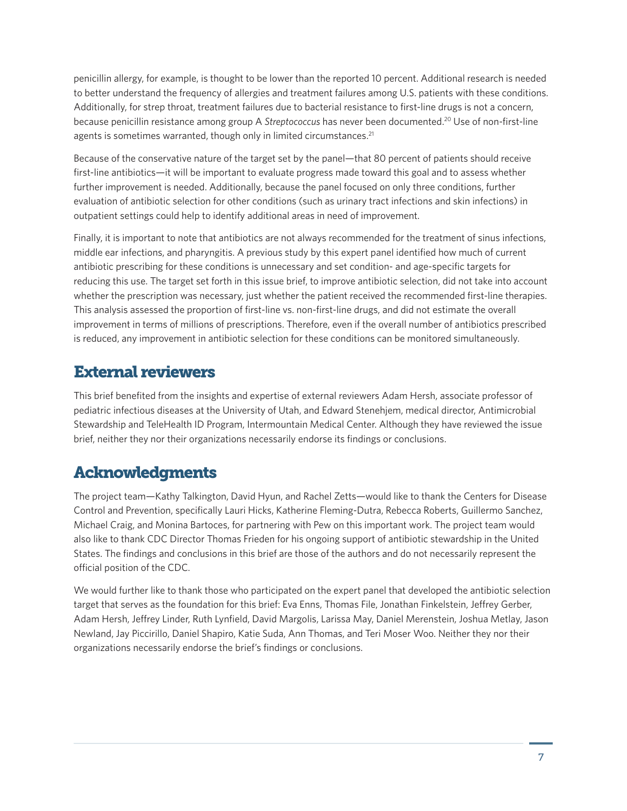penicillin allergy, for example, is thought to be lower than the reported 10 percent. Additional research is needed to better understand the frequency of allergies and treatment failures among U.S. patients with these conditions. Additionally, for strep throat, treatment failures due to bacterial resistance to first-line drugs is not a concern, because penicillin resistance among group A *Streptococcus* has never been documented.20 Use of non-first-line agents is sometimes warranted, though only in limited circumstances.<sup>21</sup>

Because of the conservative nature of the target set by the panel—that 80 percent of patients should receive first-line antibiotics—it will be important to evaluate progress made toward this goal and to assess whether further improvement is needed. Additionally, because the panel focused on only three conditions, further evaluation of antibiotic selection for other conditions (such as urinary tract infections and skin infections) in outpatient settings could help to identify additional areas in need of improvement.

Finally, it is important to note that antibiotics are not always recommended for the treatment of sinus infections, middle ear infections, and pharyngitis. A previous study by this expert panel identified how much of current antibiotic prescribing for these conditions is unnecessary and set condition- and age-specific targets for reducing this use. The target set forth in this issue brief, to improve antibiotic selection, did not take into account whether the prescription was necessary, just whether the patient received the recommended first-line therapies. This analysis assessed the proportion of first-line vs. non-first-line drugs, and did not estimate the overall improvement in terms of millions of prescriptions. Therefore, even if the overall number of antibiotics prescribed is reduced, any improvement in antibiotic selection for these conditions can be monitored simultaneously.

## External reviewers

This brief benefited from the insights and expertise of external reviewers Adam Hersh, associate professor of pediatric infectious diseases at the University of Utah, and Edward Stenehjem, medical director, Antimicrobial Stewardship and TeleHealth ID Program, Intermountain Medical Center. Although they have reviewed the issue brief, neither they nor their organizations necessarily endorse its findings or conclusions.

# Acknowledgments

The project team—Kathy Talkington, David Hyun, and Rachel Zetts—would like to thank the Centers for Disease Control and Prevention, specifically Lauri Hicks, Katherine Fleming-Dutra, Rebecca Roberts, Guillermo Sanchez, Michael Craig, and Monina Bartoces, for partnering with Pew on this important work. The project team would also like to thank CDC Director Thomas Frieden for his ongoing support of antibiotic stewardship in the United States. The findings and conclusions in this brief are those of the authors and do not necessarily represent the official position of the CDC.

We would further like to thank those who participated on the expert panel that developed the antibiotic selection target that serves as the foundation for this brief: Eva Enns, Thomas File, Jonathan Finkelstein, Jeffrey Gerber, Adam Hersh, Jeffrey Linder, Ruth Lynfield, David Margolis, Larissa May, Daniel Merenstein, Joshua Metlay, Jason Newland, Jay Piccirillo, Daniel Shapiro, Katie Suda, Ann Thomas, and Teri Moser Woo. Neither they nor their organizations necessarily endorse the brief's findings or conclusions.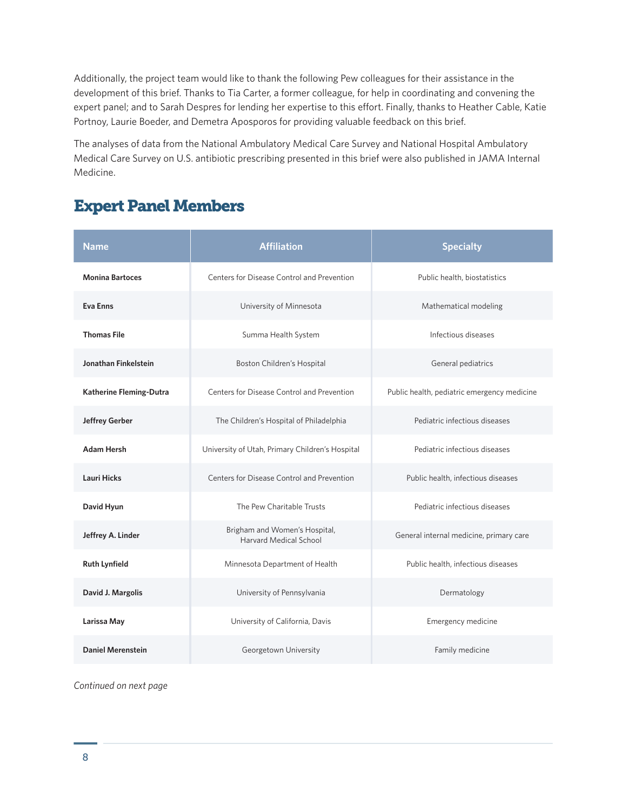Additionally, the project team would like to thank the following Pew colleagues for their assistance in the development of this brief. Thanks to Tia Carter, a former colleague, for help in coordinating and convening the expert panel; and to Sarah Despres for lending her expertise to this effort. Finally, thanks to Heather Cable, Katie Portnoy, Laurie Boeder, and Demetra Aposporos for providing valuable feedback on this brief.

The analyses of data from the National Ambulatory Medical Care Survey and National Hospital Ambulatory Medical Care Survey on U.S. antibiotic prescribing presented in this brief were also published in JAMA Internal Medicine.

# Expert Panel Members

| <b>Name</b>              | <b>Affiliation</b>                                      | <b>Specialty</b>                            |
|--------------------------|---------------------------------------------------------|---------------------------------------------|
| <b>Monina Bartoces</b>   | Centers for Disease Control and Prevention              | Public health, biostatistics                |
| <b>Eva Enns</b>          | University of Minnesota                                 | Mathematical modeling                       |
| <b>Thomas File</b>       | Summa Health System                                     | Infectious diseases                         |
| Jonathan Finkelstein     | Boston Children's Hospital                              | General pediatrics                          |
| Katherine Fleming-Dutra  | Centers for Disease Control and Prevention              | Public health, pediatric emergency medicine |
| <b>Jeffrey Gerber</b>    | The Children's Hospital of Philadelphia                 | Pediatric infectious diseases               |
| <b>Adam Hersh</b>        | University of Utah, Primary Children's Hospital         | Pediatric infectious diseases               |
| <b>Lauri Hicks</b>       | Centers for Disease Control and Prevention              | Public health, infectious diseases          |
| David Hyun               | The Pew Charitable Trusts                               | Pediatric infectious diseases               |
| Jeffrey A. Linder        | Brigham and Women's Hospital,<br>Harvard Medical School | General internal medicine, primary care     |
| <b>Ruth Lynfield</b>     | Minnesota Department of Health                          | Public health, infectious diseases          |
| David J. Margolis        | University of Pennsylvania                              | Dermatology                                 |
| Larissa May              | University of California, Davis                         | Emergency medicine                          |
| <b>Daniel Merenstein</b> | Georgetown University                                   | Family medicine                             |

*Continued on next page*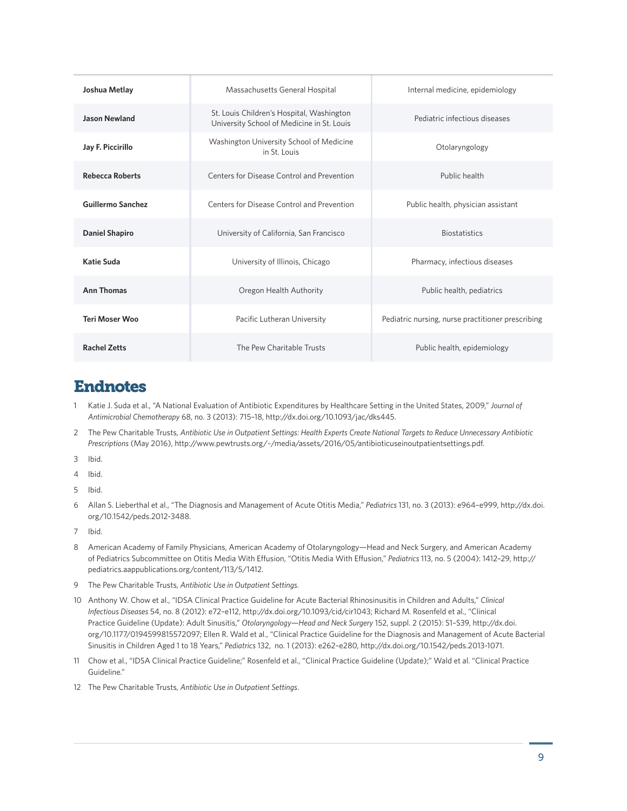| Joshua Metlay            | Massachusetts General Hospital                                                          | Internal medicine, epidemiology                   |
|--------------------------|-----------------------------------------------------------------------------------------|---------------------------------------------------|
| <b>Jason Newland</b>     | St. Louis Children's Hospital, Washington<br>University School of Medicine in St. Louis | Pediatric infectious diseases                     |
| Jay F. Piccirillo        | Washington University School of Medicine<br>in St. Louis                                | Otolaryngology                                    |
| <b>Rebecca Roberts</b>   | Centers for Disease Control and Prevention                                              | Public health                                     |
| <b>Guillermo Sanchez</b> | Centers for Disease Control and Prevention                                              | Public health, physician assistant                |
| <b>Daniel Shapiro</b>    | University of California, San Francisco                                                 | <b>Biostatistics</b>                              |
| Katie Suda               | University of Illinois, Chicago                                                         | Pharmacy, infectious diseases                     |
| <b>Ann Thomas</b>        | Oregon Health Authority                                                                 | Public health, pediatrics                         |
| <b>Teri Moser Woo</b>    | Pacific Lutheran University                                                             | Pediatric nursing, nurse practitioner prescribing |
| <b>Rachel Zetts</b>      | The Pew Charitable Trusts                                                               | Public health, epidemiology                       |

### Endnotes

- 1 Katie J. Suda et al., "A National Evaluation of Antibiotic Expenditures by Healthcare Setting in the United States, 2009," *Journal of Antimicrobial Chemotherapy* 68, no. 3 (2013): 715–18, <http://dx.doi.org/10.1093/jac/dks445>.
- 2 The Pew Charitable Trusts, *Antibiotic Use in Outpatient Settings: Health Experts Create National Targets to Reduce Unnecessary Antibiotic Prescriptions* (May 2016), [http://www.pewtrusts.org/~/media/assets/2016/05/antibioticuseinoutpatientsettings.pdf.](http://www.pewtrusts.org/~/media/assets/2016/05/antibioticuseinoutpatientsettings.pdf)
- 3 Ibid.
- 4 Ibid.
- 5 Ibid.
- 6 Allan S. Lieberthal et al., "The Diagnosis and Management of Acute Otitis Media," *Pediatrics* 131, no. 3 (2013): e964–e999, [http://dx.doi.](http://dx.doi.org/10.1542/peds.2012-3488) [org/10.1542/peds.2012-3488.](http://dx.doi.org/10.1542/peds.2012-3488)
- 7 Ibid.
- 8 American Academy of Family Physicians, American Academy of Otolaryngology—Head and Neck Surgery, and American Academy of Pediatrics Subcommittee on Otitis Media With Effusion, "Otitis Media With Effusion," *Pediatrics* 113, no. 5 (2004): 1412–29, [http://](http://pediatrics.aappublications.org/content/113/5/1412) [pediatrics.aappublications.org/content/113/5/1412.](http://pediatrics.aappublications.org/content/113/5/1412)
- 9 The Pew Charitable Trusts, *Antibiotic Use in Outpatient Settings.*
- 10 Anthony W. Chow et al., "IDSA Clinical Practice Guideline for Acute Bacterial Rhinosinusitis in Children and Adults," *Clinical Infectious Diseases* 54, no. 8 (2012): e72–e112,<http://dx.doi.org/10.1093/cid/cir1043>; Richard M. Rosenfeld et al., "Clinical Practice Guideline (Update): Adult Sinusitis," *Otolaryngology—Head and Neck Surgery* 152, suppl. 2 (2015): S1–S39, [http://dx.doi.](http://dx.doi.org/10.1177/0194599815572097) [org/10.1177/0194599815572097](http://dx.doi.org/10.1177/0194599815572097); Ellen R. Wald et al., "Clinical Practice Guideline for the Diagnosis and Management of Acute Bacterial Sinusitis in Children Aged 1 to 18 Years," *Pediatrics* 132, no. 1 (2013): e262–e280, [http://dx.doi.org/10.1542/peds.2013-1071.](http://dx.doi.org/10.1542/peds.2013-1071)
- 11 Chow et al., "IDSA Clinical Practice Guideline;" Rosenfeld et al., "Clinical Practice Guideline (Update);" Wald et al. "Clinical Practice Guideline."
- 12 The Pew Charitable Trusts, *Antibiotic Use in Outpatient Settings*.